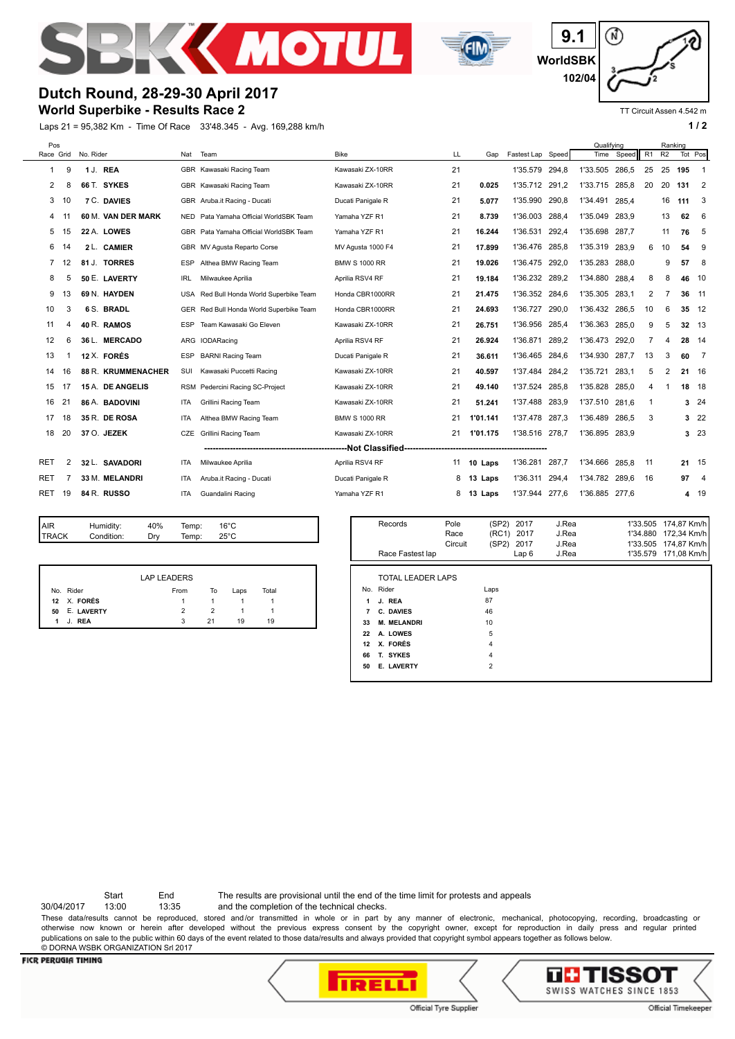



⋒ **9.1 WorldSBK 102/04**

# **Dutch Round, 28-29-30 April 2017**

## **World Superbike - Results Race 2**

Laps 21 = 95,382 Km - Time Of Race 33'48.345 - Avg. 169,288 km/h **1 and 2 1 and 2 1 a 1 a 1 a 1 a 1 a 1 a 1 a 1 a 1 a 1 a 1 a 1 a 1 a 1 a 1 a 1 a 1 a 1 a 1 a 1 a 1 a 1 a 1 a** 

TT Circuit Assen 4.542 m

| Pos            |    |           |                    |            |                                         |                      |    |          | Qualifving        |       | Ranking  |       |     |    |         |                            |
|----------------|----|-----------|--------------------|------------|-----------------------------------------|----------------------|----|----------|-------------------|-------|----------|-------|-----|----|---------|----------------------------|
| Race Grid      |    | No. Rider |                    | Nat        | Team                                    | <b>Bike</b>          | LL | Gap      | Fastest Lap Speed |       | Time     | Speed | R1  | R2 | Tot Pos |                            |
| 1              | 9  |           | 1 J. REA           |            | GBR Kawasaki Racing Team                | Kawasaki ZX-10RR     | 21 |          | 1'35.579          | 294,8 | 1'33.505 | 286,5 | 25  | 25 | 195     | -1                         |
| 2              | 8  |           | 66 T. SYKES        |            | GBR Kawasaki Racing Team                | Kawasaki ZX-10RR     | 21 | 0.025    | 1'35.712          | 291,2 | 1'33.715 | 285.8 | 20  | 20 | 131     | $\overline{\phantom{a}}^2$ |
| 3              | 10 |           | 7 C. DAVIES        |            | GBR Aruba.it Racing - Ducati            | Ducati Panigale R    | 21 | 5.077    | 1'35.990          | 290.8 | 1'34.491 | 285.4 |     | 16 | 111     | 3                          |
| 4              |    |           | 60 M. VAN DER MARK |            | NED Pata Yamaha Official WorldSBK Team  | Yamaha YZF R1        | 21 | 8.739    | 1'36.003          | 288.4 | 1'35.049 | 283.9 |     | 13 | 62      | 6                          |
| 5              |    |           | 22 A. LOWES        |            | GBR Pata Yamaha Official WorldSBK Team  | Yamaha YZF R1        | 21 | 16.244   | 1'36.531          | 292,4 | 1'35.698 | 287.7 |     | 11 | 76      | 5                          |
| 6              | 14 |           | 2 L. CAMIER        |            | GBR MV Agusta Reparto Corse             | MV Agusta 1000 F4    | 21 | 17.899   | 1'36.476          | 285,8 | 1'35.319 | 283,9 | 6   | 10 | 54      | 9                          |
| $\overline{7}$ | 12 |           | 81 J. TORRES       | ESP        | Althea BMW Racing Team                  | <b>BMW S 1000 RR</b> | 21 | 19.026   | 1'36.475 292,0    |       | 1'35.283 | 288.0 |     | 9  | 57      | 8                          |
| 8              |    |           | 50 E. LAVERTY      | IRL        | Milwaukee Aprilia                       | Aprilia RSV4 RF      | 21 | 19.184   | 1'36.232 289.2    |       | 1'34.880 | 288,4 | 8   | 8  | 46      | 10                         |
| 9              | 13 |           | 69 N. HAYDEN       | USA        | Red Bull Honda World Superbike Team     | Honda CBR1000RR      | 21 | 21.475   | 1'36.352          | 284,6 | 1'35.305 | 283.1 | 2   | 7  | 36      | 11                         |
| 10             | 3  |           | 6 S. BRADL         |            | GER Red Bull Honda World Superbike Team | Honda CBR1000RR      | 21 | 24.693   | 1'36.727          | 290.0 | 1'36.432 | 286.5 | 10  | 6  | 35      | 12                         |
| 11             | 4  |           | 40 R. RAMOS        | ESP        | Team Kawasaki Go Eleven                 | Kawasaki ZX-10RR     | 21 | 26.751   | 1'36.956          | 285,4 | 1'36.363 | 285,0 | 9   | 5  | 32      | -13                        |
| 12             | 6  |           | 36 L. MERCADO      | ARG        | IODARacing                              | Aprilia RSV4 RF      | 21 | 26.924   | 1'36.871          | 289.2 | 1'36.473 | 292.0 | 7   | 4  | 28      | -14                        |
| 13             |    |           | 12 X. FORÉS        | ESP        | <b>BARNI Racing Team</b>                | Ducati Panigale R    | 21 | 36.611   | 1'36.465          | 284,6 | 1'34.930 | 287.7 | 13  | 3  | 60      | $\overline{7}$             |
| 14             | 16 |           | 88 R. KRUMMENACHER | SUI        | Kawasaki Puccetti Racing                | Kawasaki ZX-10RR     | 21 | 40.597   | 1'37.484          | 284,2 | 1'35.721 | 283,1 | 5   | 2  | 21      | 16                         |
| 15             | 17 |           | 15 A. DE ANGELIS   | <b>RSM</b> | Pedercini Racing SC-Project             | Kawasaki ZX-10RR     | 21 | 49.140   | 1'37.524          | 285,8 | 1'35.828 | 285,0 | 4   |    | 18      | 18                         |
| 16             | 21 |           | 86 A. BADOVINI     | <b>ITA</b> | Grillini Racing Team                    | Kawasaki ZX-10RR     | 21 | 51.241   | 1'37.488          | 283,9 | 1'37.510 | 281.6 | -1  |    |         | 324                        |
| 17             | 18 |           | 35 R. DE ROSA      | <b>ITA</b> | Althea BMW Racing Team                  | <b>BMW S 1000 RR</b> | 21 | 1'01.141 | 1'37.478          | 287,3 | 1'36.489 | 286.5 | 3   |    |         | 3, 22                      |
| 18             | 20 |           | 37 O. JEZEK        | CZE        | <b>Grillini Racing Team</b>             | Kawasaki ZX-10RR     | 21 | 1'01.175 | 1'38.516          | 278,7 | 1'36.895 | 283,9 |     |    |         | 3, 23                      |
|                |    |           |                    |            |                                         |                      |    |          |                   |       |          |       |     |    |         |                            |
| <b>RET</b>     | 2  |           | 32 L. SAVADORI     | <b>ITA</b> | Milwaukee Aprilia                       | Aprilia RSV4 RF      | 11 | 10 Laps  | 1'36.281          | 287.7 | 1'34.666 | 285.8 | -11 |    | 21 15   |                            |
| RET            |    |           | 33 M. MELANDRI     | <b>ITA</b> | Aruba.it Racing - Ducati                | Ducati Panigale R    | 8  | 13 Laps  | 1'36.311          | 294,4 | 1'34.782 | 289.6 | 16  |    | 97      | 4                          |
| <b>RET</b>     | 19 |           | 84 R. RUSSO        | <b>ITA</b> | Guandalini Racing                       | Yamaha YZF R1        | 8  | 13 Laps  | 1'37.944          | 277,6 | 1'36.885 | 277.6 |     |    | 4       | 19                         |
|                |    |           |                    |            |                                         |                      |    |          |                   |       |          |       |     |    |         |                            |

| <b>AIR</b>         | Humidity:  | 40% | Temp: | $16^{\circ}$ C |  |  |
|--------------------|------------|-----|-------|----------------|--|--|
| <b>TRACK</b>       | Condition: | Drv | Temp: | $25^{\circ}$ C |  |  |
|                    |            |     |       |                |  |  |
|                    |            |     |       |                |  |  |
| <b>LAP LEADERS</b> |            |     |       |                |  |  |
|                    |            |     |       |                |  |  |

No. Rider **From** To Laps Total X. **FORÉS** 1 1 1 1 E. **LAVERTY** 2 2 1 1 J. **REA** 3 21 19 19

|                                      | Records                                                                                                                                     | Pole<br>Race<br>Circuit | (SP2)<br>2017<br>(RC1)<br>2017<br>(SP2) 2017            | J.Rea<br>J.Rea<br>J.Rea | 1'33.505 174,87 Km/h<br>1'34.880 172,34 Km/h<br>1'33.505 174,87 Km/h |
|--------------------------------------|---------------------------------------------------------------------------------------------------------------------------------------------|-------------------------|---------------------------------------------------------|-------------------------|----------------------------------------------------------------------|
|                                      | Race Fastest lap                                                                                                                            |                         | Lap <sub>6</sub>                                        | J.Rea                   | 1'35.579 171.08 Km/h                                                 |
| 1<br>7<br>33<br>22<br>12<br>66<br>50 | <b>TOTAL LEADER LAPS</b><br>No. Rider<br>J. REA<br>C. DAVIES<br><b>M. MELANDRI</b><br>A. LOWES<br>X. FORÉS<br>T. SYKES<br><b>E. LAVERTY</b> |                         | Laps<br>87<br>46<br>10<br>5<br>4<br>4<br>$\overline{2}$ |                         |                                                                      |
|                                      |                                                                                                                                             |                         |                                                         |                         |                                                                      |

Start End The results are provisional until the end of the time limit for protests and appeals

30/04/2017 13:00 13:35 and the completion of the technical checks.

These data/results cannot be reproduced, stored and/or transmitted in whole or in part by any manner of electronic, mechanical, photocopying, recording, broadcasting or otherwise now known or herein after developed without the previous express consent by the copyright owner, except for reproduction in daily press and regular printed publications on sale to the public within 60 days of the event related to those data/results and always provided that copyright symbol appears together as follows below. © DORNA WSBK ORGANIZATION Srl 2017

#### **FICR PERUGIA TIMING**